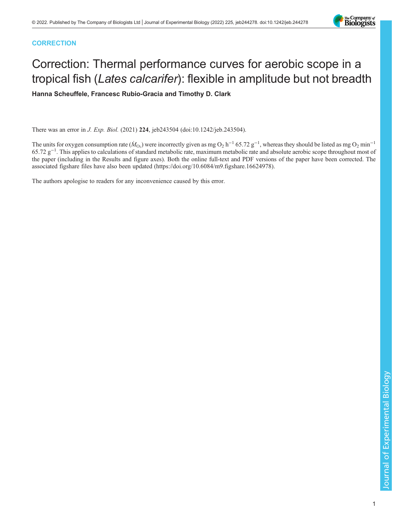

## **CORRECTION**

# Correction: Thermal performance curves for aerobic scope in a tropical fish (Lates calcarifer): flexible in amplitude but not breadth

Hanna Scheuffele, Francesc Rubio-Gracia and Timothy D. Clark

There was an error in J. Exp. Biol. (2021) 224, [jeb243504 \(doi:10.1242/jeb.243504\)](https://doi.org/10.1242/jeb.243504).

The units for oxygen consumption rate  $(\dot{M}_{O_2})$  were incorrectly given as mg  $O_2$  h<sup>-1</sup> 65.72 g<sup>-1</sup>, whereas they should be listed as mg  $O_2$  min<sup>-1</sup> 65.72 g<sup>-1</sup>. This applies to calculations of standard metabolic rate, maximum metabolic rate and absolute aerobic scope throughout most of the paper (including in the Results and figure axes). Both the online full-text and PDF versions of the paper have been corrected. The associated figshare files have also been updated [\(https://doi.org/10.6084/m9.figshare.16624978\)](https://doi.org/10.6084/m9.figshare.16624978).

The authors apologise to readers for any inconvenience caused by this error.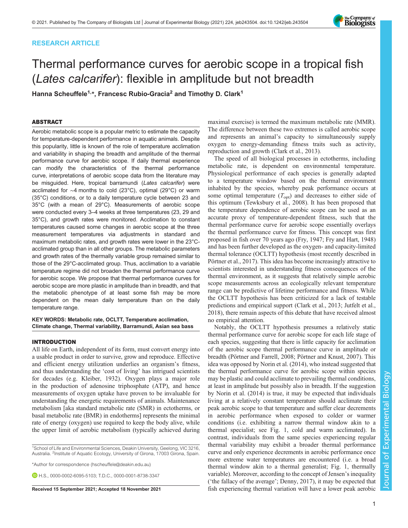## RESEARCH ARTICLE



## Thermal performance curves for aerobic scope in a tropical fish (Lates calcarifer): flexible in amplitude but not breadth

Hanna Scheuffele<sup>1,\*</sup>, Francesc Rubio-Gracia<sup>2</sup> and Timothy D. Clark<sup>1</sup>

## ABSTRACT

Aerobic metabolic scope is a popular metric to estimate the capacity for temperature-dependent performance in aquatic animals. Despite this popularity, little is known of the role of temperature acclimation and variability in shaping the breadth and amplitude of the thermal performance curve for aerobic scope. If daily thermal experience can modify the characteristics of the thermal performance curve, interpretations of aerobic scope data from the literature may be misguided. Here, tropical barramundi (Lates calcarifer) were acclimated for ∼4 months to cold (23°C), optimal (29°C) or warm (35°C) conditions, or to a daily temperature cycle between 23 and 35°C (with a mean of 29°C). Measurements of aerobic scope were conducted every 3–4 weeks at three temperatures (23, 29 and 35°C), and growth rates were monitored. Acclimation to constant temperatures caused some changes in aerobic scope at the three measurement temperatures via adjustments in standard and maximum metabolic rates, and growth rates were lower in the 23°Cacclimated group than in all other groups. The metabolic parameters and growth rates of the thermally variable group remained similar to those of the 29°C-acclimated group. Thus, acclimation to a variable temperature regime did not broaden the thermal performance curve for aerobic scope. We propose that thermal performance curves for aerobic scope are more plastic in amplitude than in breadth, and that the metabolic phenotype of at least some fish may be more dependent on the mean daily temperature than on the daily temperature range.

KEY WORDS: Metabolic rate, OCLTT, Temperature acclimation, Climate change, Thermal variability, Barramundi, Asian sea bass

## INTRODUCTION

All life on Earth, independent of its form, must convert energy into a usable product in order to survive, grow and reproduce. Effective and efficient energy utilization underlies an organism's fitness, and thus understanding the 'cost of living' has intrigued scientists for decades (e.g. [Kleiber, 1932](#page-10-0)). Oxygen plays a major role in the production of adenosine triphosphate (ATP), and hence measurements of oxygen uptake have proven to be invaluable for understanding the energetic requirements of animals. Maintenance metabolism [aka standard metabolic rate (SMR) in ectotherms, or basal metabolic rate (BMR) in endotherms] represents the minimal rate of energy (oxygen) use required to keep the body alive, while the upper limit of aerobic metabolism (typically achieved during

<sup>1</sup>School of Life and Environmental Sciences, Deakin University, Geelong, VIC 3216, Australia. <sup>2</sup>Institute of Aquatic Ecology, University of Girona, 17003 Girona, Spain.

\*Author for correspondence [\(hscheuffele@deakin.edu.au](mailto:hscheuffele@deakin.edu.au))

**D**H.S., [0000-0002-6095-5103;](http://orcid.org/0000-0002-6095-5103) T.D.C., [0000-0001-8738-3347](http://orcid.org/0000-0001-8738-3347)

maximal exercise) is termed the maximum metabolic rate (MMR). The difference between these two extremes is called aerobic scope and represents an animal's capacity to simultaneously supply oxygen to energy-demanding fitness traits such as activity, reproduction and growth ([Clark et al., 2013\)](#page-10-0).

The speed of all biological processes in ectotherms, including metabolic rate, is dependent on environmental temperature. Physiological performance of each species is generally adapted to a temperature window based on the thermal environment inhabited by the species, whereby peak performance occurs at some optimal temperature  $(T_{opt})$  and decreases to either side of this optimum [\(Tewksbury et al., 2008\)](#page-10-0). It has been proposed that the temperature dependence of aerobic scope can be used as an accurate proxy of temperature-dependent fitness, such that the thermal performance curve for aerobic scope essentially overlays the thermal performance curve for fitness. This concept was first proposed in fish over 70 years ago [\(Fry, 1947; Fry and Hart, 1948\)](#page-10-0) and has been further developed as the oxygen- and capacity-limited thermal tolerance (OCLTT) hypothesis (most recently described in [Pörtner et al., 2017\).](#page-10-0) This idea has become increasingly attractive to scientists interested in understanding fitness consequences of the thermal environment, as it suggests that relatively simple aerobic scope measurements across an ecologically relevant temperature range can be predictive of lifetime performance and fitness. While the OCLTT hypothesis has been criticized for a lack of testable predictions and empirical support [\(Clark et al., 2013; Jutfelt et al.,](#page-10-0) [2018\)](#page-10-0), there remain aspects of this debate that have received almost no empirical attention.

Notably, the OCLTT hypothesis presumes a relatively static thermal performance curve for aerobic scope for each life stage of each species, suggesting that there is little capacity for acclimation of the aerobic scope thermal performance curve in amplitude or breadth ([Pörtner and Farrell, 2008; Pörtner and Knust, 2007](#page-10-0)). This idea was opposed by [Norin et al. \(2014\),](#page-10-0) who instead suggested that the thermal performance curve for aerobic scope within species may be plastic and could acclimate to prevailing thermal conditions, at least in amplitude but possibly also in breadth. If the suggestion by [Norin et al. \(2014\)](#page-10-0) is true, it may be expected that individuals living at a relatively constant temperature should acclimate their peak aerobic scope to that temperature and suffer clear decrements in aerobic performance when exposed to colder or warmer conditions (i.e. exhibiting a narrow thermal window akin to a thermal specialist; see [Fig. 1,](#page-2-0) cold and warm acclimated). In contrast, individuals from the same species experiencing regular thermal variability may exhibit a broader thermal performance curve and only experience decrements in aerobic performance once more extreme water temperatures are encountered (i.e. a broad thermal window akin to a thermal generalist; [Fig. 1](#page-2-0), thermally variable). Moreover, according to the concept of Jensen's inequality ('the fallacy of the average'; [Denny, 2017\)](#page-10-0), it may be expected that Received 15 September 2021; Accepted 18 November 2021 fish experiencing thermal variation will have a lower peak aerobic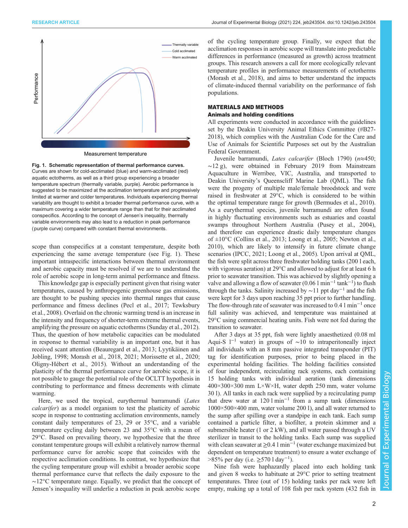<span id="page-2-0"></span>

Measurement temperature

Fig. 1. Schematic representation of thermal performance curves. Curves are shown for cold-acclimated (blue) and warm-acclimated (red) aquatic ectotherms, as well as a third group experiencing a broader temperature spectrum (thermally variable, purple). Aerobic performance is suggested to be maximized at the acclimation temperature and progressively limited at warmer and colder temperatures. Individuals experiencing thermal variability are thought to exhibit a broader thermal performance curve, with a maximum covering a wider temperature range than that for their acclimated conspecifics. According to the concept of Jensen's inequality, thermally variable environments may also lead to a reduction in peak performance (purple curve) compared with constant thermal environments.

scope than conspecifics at a constant temperature, despite both experiencing the same average temperature (see Fig. 1). These important intraspecific interactions between thermal environment and aerobic capacity must be resolved if we are to understand the role of aerobic scope in long-term animal performance and fitness.

This knowledge gap is especially pertinent given that rising water temperatures, caused by anthropogenic greenhouse gas emissions, are thought to be pushing species into thermal ranges that cause performance and fitness declines ([Pecl et al., 2017](#page-10-0); [Tewksbury](#page-10-0) [et al., 2008\)](#page-10-0). Overlaid on the chronic warming trend is an increase in the intensity and frequency of shorter-term extreme thermal events, amplifying the pressure on aquatic ectotherms ([Sunday et al., 2012\)](#page-10-0). Thus, the question of how metabolic capacities can be modulated in response to thermal variability is an important one, but it has received scant attention [\(Beauregard et al., 2013](#page-9-0); [Lyytikäinen and](#page-10-0) [Jobling, 1998](#page-10-0); [Morash et al., 2018](#page-10-0), [2021; Morissette et al., 2020](#page-10-0); [Oligny-Hébert et al., 2015\)](#page-10-0). Without an understanding of the plasticity of the thermal performance curve for aerobic scope, it is not possible to gauge the potential role of the OCLTT hypothesis in contributing to performance and fitness decrements with climate warming.

Here, we used the tropical, eurythermal barramundi (Lates calcarifer) as a model organism to test the plasticity of aerobic scope in response to contrasting acclimation environments, namely constant daily temperatures of 23, 29 or 35°C, and a variable temperature cycling daily between 23 and 35°C with a mean of 29°C. Based on prevailing theory, we hypothesize that the three constant temperature groups will exhibit a relatively narrow thermal performance curve for aerobic scope that coincides with the respective acclimation conditions. In contrast, we hypothesize that the cycling temperature group will exhibit a broader aerobic scope thermal performance curve that reflects the daily exposure to the ∼12°C temperature range. Equally, we predict that the concept of Jensen's inequality will underlie a reduction in peak aerobic scope

of the cycling temperature group. Finally, we expect that the acclimation responses in aerobic scope will translate into predictable differences in performance (measured as growth) across treatment groups. This research answers a call for more ecologically relevant temperature profiles in performance measurements of ectotherms [\(Morash et al., 2018\)](#page-10-0), and aims to better understand the impacts of climate-induced thermal variability on the performance of fish populations.

## MATERIALS AND METHODS

## Animals and holding conditions

All experiments were conducted in accordance with the guidelines set by the Deakin University Animal Ethics Committee (#B27- 2018), which complies with the Australian Code for the Care and Use of Animals for Scientific Purposes set out by the Australian Federal Government.

Juvenile barramundi, Lates calcarifer (Bloch 1790) (n≈450; ∼12 g), were obtained in February 2019 from Mainstream Aquaculture in Werribee, VIC, Australia, and transported to Deakin University's Queenscliff Marine Lab (QML). The fish were the progeny of multiple male/female broodstock and were raised in freshwater at 29°C, which is considered to be within the optimal temperature range for growth ([Bermudes et al., 2010\)](#page-10-0). As a eurythermal species, juvenile barramundi are often found in highly fluctuating environments such as estuaries and coastal swamps throughout Northern Australia ([Pusey et al., 2004\)](#page-10-0), and therefore can experience drastic daily temperature changes of  $\pm 10^{\circ}$ C ([Collins et al., 2013](#page-10-0); [Loong et al., 2005](#page-10-0); [Newton et al.,](#page-10-0) [2010\)](#page-10-0), which are likely to intensify in future climate change scenarios ([IPCC, 2021; Loong et al., 2005\)](#page-10-0). Upon arrival at QML, the fish were split across three freshwater holding tanks (200 l each, with vigorous aeration) at 29°C and allowed to adjust for at least 6 h prior to seawater transition. This was achieved by slightly opening a valve and allowing a flow of seawater (0.06 l min<sup>-1</sup> tank<sup>-1</sup>) to flush through the tanks. Salinity increased by ∼11 ppt day<sup>-1</sup> and the fish were kept for 3 days upon reaching 35 ppt prior to further handling. The flow-through rate of seawater was increased to 0.4 l min<sup>-1</sup> once full salinity was achieved, and temperature was maintained at 29°C using commercial heating units. Fish were not fed during the transition to seawater.

After 3 days at 35 ppt, fish were lightly anaesthetized (0.08 ml Aqui-S  $1^{-1}$  water) in groups of ~10 to intraperitoneally inject all individuals with an 8 mm passive integrated transponder (PIT) tag for identification purposes, prior to being placed in the experimental holding facilities. The holding facilities consisted of four independent, recirculating rack systems, each containing 15 holding tanks with individual aeration (tank dimensions 400×300×300 mm L×W×H, water depth 250 mm, water volume 30 l). All tanks in each rack were supplied by a recirculating pump that drew water at 120 l min−<sup>1</sup> from a sump tank (dimensions 1000×500×400 mm, water volume 200 l), and all water returned to the sump after spilling over a standpipe in each tank. Each sump contained a particle filter, a biofilter, a protein skimmer and a submersible heater (1 or 2 kW), and all water passed through a UV sterilizer in transit to the holding tanks. Each sump was supplied with clean seawater at ≥0.4 l min−<sup>1</sup> (water exchange maximized but dependent on temperature treatment) to ensure a water exchange of >85% per day (i.e. ≥570 l day<sup>-1</sup>).

Nine fish were haphazardly placed into each holding tank and given 8 weeks to habituate at 29°C prior to setting treatment temperatures. Three (out of 15) holding tanks per rack were left empty, making up a total of 108 fish per rack system (432 fish in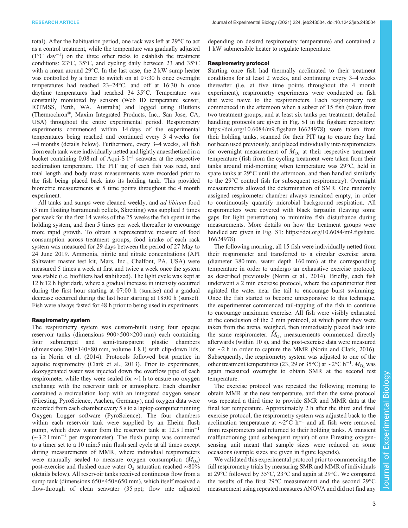total). After the habituation period, one rack was left at 29°C to act as a control treatment, while the temperature was gradually adjusted (1°C day−<sup>1</sup> ) on the three other racks to establish the treatment conditions: 23°C, 35°C, and cycling daily between 23 and 35°C with a mean around 29°C. In the last case, the 2 kW sump heater was controlled by a timer to switch on at 07:30 h once overnight temperatures had reached 23–24°C, and off at 16:30 h once daytime temperatures had reached 34–35°C. Temperature was constantly monitored by sensors (Web ID temperature sensor, IOTMSS, Perth, WA, Australia) and logged using iButtons (Thermochron®, Maxim Integrated Products, Inc., San Jose, CA, USA) throughout the entire experimental period. Respirometry experiments commenced within 14 days of the experimental temperatures being reached and continued every 3–4 weeks for ∼4 months (details below). Furthermore, every 3–4 weeks, all fish from each tank were individually netted and lightly anaesthetized in a bucket containing 0.08 ml of Aqui-S l−<sup>1</sup> seawater at the respective acclimation temperature. The PIT tag of each fish was read, and total length and body mass measurements were recorded prior to the fish being placed back into its holding tank. This provided biometric measurements at 5 time points throughout the 4 month experiment.

All tanks and sumps were cleaned weekly, and *ad libitum* food (3 mm floating barramundi pellets, Skretting) was supplied 3 times per week for the first 14 weeks of the 25 weeks the fish spent in the holding system, and then 5 times per week thereafter to encourage more rapid growth. To obtain a representative measure of food consumption across treatment groups, food intake of each rack system was measured for 29 days between the period of 27 May to 24 June 2019. Ammonia, nitrite and nitrate concentrations (API Saltwater master test kit, Mars, Inc., Chalfont, PA, USA) were measured 5 times a week at first and twice a week once the system was stable (i.e. biofilters had stabilized). The light cycle was kept at 12 h:12 h light:dark, where a gradual increase in intensity occurred during the first hour starting at 07:00 h (sunrise) and a gradual decrease occurred during the last hour starting at 18:00 h (sunset). Fish were always fasted for 48 h prior to being used in experiments.

#### Respirometry system

The respirometry system was custom-built using four opaque reservoir tanks (dimensions 900×500×200 mm) each containing four submerged and semi-transparent plastic chambers (dimensions  $200\times140\times80$  mm, volume 1.8 l) with clip-down lids, as in [Norin et al. \(2014\).](#page-10-0) Protocols followed best practice in aquatic respirometry ([Clark et al., 2013\)](#page-10-0). Prior to experiments, deoxygenated water was injected down the overflow pipe of each respirometer while they were sealed for ∼1 h to ensure no oxygen exchange with the reservoir tank or atmosphere. Each chamber contained a recirculation loop with an integrated oxygen sensor (Firesting, PyroScience, Aachen, Germany), and oxygen data were recorded from each chamber every 5 s to a laptop computer running Oxygen Logger software (PyroScience). The four chambers within each reservoir tank were supplied by an Eheim flush pump, which drew water from the reservoir tank at 12.8 l min<sup>-1</sup> (∼3.2 l min−<sup>1</sup> per respirometer). The flush pump was connected to a timer set to a 10 min:5 min flush:seal cycle at all times except during measurements of MMR, where individual respirometers were manually sealed to measure oxygen consumption  $(M<sub>O<sub>2</sub></sub>)$ post-exercise and flushed once water O<sub>2</sub> saturation reached ∼80% (details below). All reservoir tanks received continuous flow from a sump tank (dimensions  $650 \times 450 \times 650$  mm), which itself received a flow-through of clean seawater (35 ppt; flow rate adjusted

depending on desired respirometry temperature) and contained a 1 kW submersible heater to regulate temperature.

## Respirometry protocol

Starting once fish had thermally acclimated to their treatment conditions for at least 2 weeks, and continuing every 3–4 weeks thereafter (i.e. at five time points throughout the 4 month experiment), respirometry experiments were conducted on fish that were naive to the respirometers. Each respirometry test commenced in the afternoon when a subset of 15 fish (taken from two treatment groups, and at least six tanks per treatment; detailed handling protocols are given in Fig. S1 in the figshare repository: <https://doi.org/10.6084/m9.figshare.16624978>) were taken from their holding tanks, scanned for their PIT tag to ensure they had not been used previously, and placed individually into respirometers for overnight measurement of  $\dot{M}_{\text{O}_2}$  at their respective treatment temperature (fish from the cycling treatment were taken from their tanks around mid-morning when temperature was 29°C, held in spare tanks at 29°C until the afternoon, and then handled similarly to the 29°C control fish for subsequent respirometry). Overnight measurements allowed the determination of SMR. One randomly assigned respirometer chamber always remained empty, in order to continuously quantify microbial background respiration. All respirometers were covered with black tarpaulin (leaving some gaps for light penetration) to minimize fish disturbance during measurements. More details on how the treatment groups were handled are given in Fig. S1: [https://doi.org/10.6084/m9.figshare.](https://doi.org/10.6084/m9.figshare.16624978) [16624978](https://doi.org/10.6084/m9.figshare.16624978)).

The following morning, all 15 fish were individually netted from their respirometer and transferred to a circular exercise arena (diameter 380 mm, water depth 160 mm) at the corresponding temperature in order to undergo an exhaustive exercise protocol, as described previously [\(Norin et al., 2014](#page-10-0)). Briefly, each fish underwent a 2 min exercise protocol, where the experimenter first agitated the water near the tail to encourage burst swimming. Once the fish started to become unresponsive to this technique, the experimenter commenced tail-tapping of the fish to continue to encourage maximum exercise. All fish were visibly exhausted at the conclusion of the 2 min protocol, at which point they were taken from the arena, weighed, then immediately placed back into the same respirometer.  $\dot{M}_{\text{O}_2}$  measurements commenced directly afterwards (within 10 s), and the post-exercise data were measured for ∼2 h in order to capture the MMR ([Norin and Clark, 2016\)](#page-10-0). Subsequently, the respirometry system was adjusted to one of the other treatment temperatures (23, 29 or 35°C) at ~2°C h<sup>-1</sup>.  $\dot{M}_{\text{O}_2}$  was again measured overnight to obtain SMR at the second test temperature.

The exercise protocol was repeated the following morning to obtain MMR at the new temperature, and then the same protocol was repeated a third time to provide SMR and MMR data at the final test temperature. Approximately 2 h after the third and final exercise protocol, the respirometry system was adjusted back to the acclimation temperature at ∼2°C h−<sup>1</sup> and all fish were removed from respirometers and returned to their holding tanks. A transient malfunctioning (and subsequent repair) of one Firesting oxygensensing unit meant that sample sizes were reduced on some occasions (sample sizes are given in figure legends).

We validated this experimental protocol prior to commencing the full respirometry trials by measuring SMR and MMR of individuals at 29°C followed by 35°C, 23°C and again at 29°C. We compared the results of the first 29°C measurement and the second 29°C measurement using repeated measures ANOVA and did not find any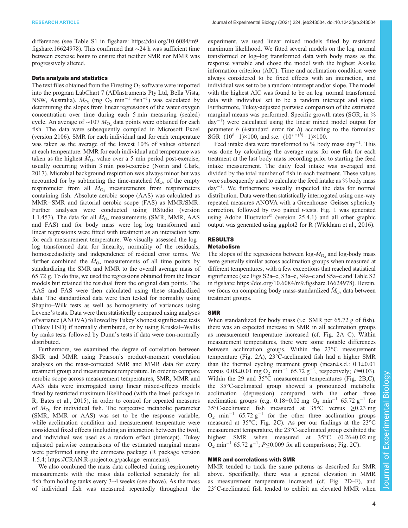differences (see Table S1 in figshare: [https://doi.org/10.6084/m9.](https://doi.org/10.6084/m9.figshare.16624978) [figshare.16624978](https://doi.org/10.6084/m9.figshare.16624978)). This confirmed that ∼24 h was sufficient time between exercise bouts to ensure that neither SMR nor MMR was progressively altered.

#### Data analysis and statistics

The text files obtained from the Firesting  $O<sub>2</sub>$  software were imported into the program LabChart 7 (ADInstruments Pty Ltd, Bella Vista, NSW, Australia).  $\dot{M}_{O_2}$  (mg O<sub>2</sub> min<sup>-1</sup> fish<sup>-1</sup>) was calculated by determining the slopes from linear regressions of the water oxygen concentration over time during each 5 min measuring (sealed) cycle. An average of ~107  $\dot{M}_{\text{O}_2}$  data points were obtained for each fish. The data were subsequently compiled in Microsoft Excel (version 2106). SMR for each individual and for each temperature was taken as the average of the lowest 10% of values obtained at each temperature. MMR for each individual and temperature was taken as the highest  $\dot{M}_{\text{O}_2}$  value over a 5 min period post-exercise, usually occurring within 3 min post-exercise ([Norin and Clark,](#page-10-0) [2017](#page-10-0)). Microbial background respiration was always minor but was accounted for by subtracting the time-matched  $\dot{M}_{O_2}$  of the empty respirometer from all  $\dot{M}_{\text{O}_2}$  measurements from respirometers containing fish. Absolute aerobic scope (AAS) was calculated as MMR−SMR and factorial aerobic scope (FAS) as MMR/SMR. Further analyses were conducted using RStudio (version 1.1.453). The data for all  $\dot{M}_{\text{O}_2}$  measurements (SMR, MMR, AAS and FAS) and for body mass were log–log transformed and linear regressions were fitted with treatment as an interaction term for each measurement temperature. We visually assessed the log– log transformed data for linearity, normality of the residuals, homoscedasticity and independence of residual error terms. We further combined the  $\dot{M}_{\text{O}_2}$  measurements of all time points by standardizing the SMR and MMR to the overall average mass of 65.72 g. To do this, we used the regressions obtained from the linear models but retained the residual from the original data points. The AAS and FAS were then calculated using these standardized data. The standardized data were then tested for normality using Shapiro–Wilk tests as well as homogeneity of variances using Levene's tests. Data were then statistically compared using analyses of variance (ANOVA) followed by Tukey's honest significance tests (Tukey HSD) if normally distributed, or by using Kruskal–Wallis by ranks tests followed by Dunn's tests if data were non-normally distributed.

Furthermore, we examined the degree of correlation between SMR and MMR using Pearson's product-moment correlation analyses on the mass-corrected SMR and MMR data for every treatment group and measurement temperature. In order to compare aerobic scope across measurement temperatures, SMR, MMR and AAS data were interrogated using linear mixed-effects models fitted by restricted maximum likelihood (with the lme4 package in R; [Bates et al., 2015\)](#page-9-0), in order to control for repeated measures of  $\dot{M}_{\text{O}_2}$  for individual fish. The respective metabolic parameter (SMR, MMR or AAS) was set to be the response variable, while acclimation condition and measurement temperature were considered fixed effects (including an interaction between the two), and individual was used as a random effect (intercept). Tukey adjusted pairwise comparisons of the estimated marginal means were performed using the emmeans package (R package version 1.5.4; [https://CRAN.R-project.org/package=emmeans\)](https://CRAN.R-project.org/package=emmeans).

We also combined the mass data collected during respirometry measurements with the mass data collected separately for all fish from holding tanks every 3–4 weeks (see above). As the mass of individual fish was measured repeatedly throughout the experiment, we used linear mixed models fitted by restricted maximum likelihood. We fitted several models on the log–normal transformed or log–log transformed data with body mass as the response variable and chose the model with the highest Akaike information criterion (AIC). Time and acclimation condition were always considered to be fixed effects with an interaction, and individual was set to be a random intercept and/or slope. The model with the highest AIC was found to be on log–normal transformed data with individual set to be a random intercept and slope. Furthermore, Tukey-adjusted pairwise comparison of the estimated marginal means was performed. Specific growth rates (SGR, in % day−<sup>1</sup> ) were calculated using the linear mixed model output for parameter  $b$  ( $\pm$ standard error for  $b$ ) according to the formulas: SGR= $(10<sup>b</sup>-1) \times 100$ , and s.e.= $(10<sup>s.e.(b)</sup>-1) \times 100$ .

Feed intake data were transformed to % body mass day<sup>-1</sup>. This was done by calculating the average mass for one fish for each treatment at the last body mass recording prior to starting the feed intake measurement. The daily feed intake was averaged and divided by the total number of fish in each treatment. These values were subsequently used to calculate the feed intake as % body mass day−<sup>1</sup> . We furthermore visually inspected the data for normal distribution. Data were then statistically interrogated using one-way repeated measures ANOVA with a Greenhouse–Geisser sphericity correction, followed by two paired t-tests. [Fig. 1](#page-2-0) was generated using Adobe Illustrator© (version 25.4.1) and all other graphic output was generated using ggplot2 for R [\(Wickham et al., 2016\)](#page-10-0).

## RESULTS

## Metabolism

The slopes of the regressions between  $log - M_{\text{O}_2}$  and  $log$ -body mass were generally similar across acclimation groups when measured at different temperatures, with a few exceptions that reached statistical significance (see Figs S2a–c, S3a–c, S4a–c and S5a–c and Table S2 in figshare: [https://doi.org/10.6084/m9.figshare.16624978\)](https://doi.org/10.6084/m9.figshare.16624978). Herein, we focus on comparing body mass-standardized  $\dot{M}_{\text{O}_2}$  data between treatment groups.

#### SMR

When standardized for body mass (i.e. SMR per 65.72 g of fish), there was an expected increase in SMR in all acclimation groups as measurement temperature increased (cf. [Fig. 2A](#page-5-0)–C). Within measurement temperatures, there were some notable differences between acclimation groups. Within the 23°C measurement temperature ([Fig. 2](#page-5-0)A), 23°C-acclimated fish had a higher SMR than the thermal cycling treatment group (mean±s.d.: 0.1±0.01 versus  $0.08 \pm 0.01$  mg O<sub>2</sub> min<sup>-1</sup> 65.72 g<sup>-1</sup>, respectively; P=0.03). Within the 29 and 35°C measurement temperatures ([Fig. 2](#page-5-0)B,C), the 35°C-acclimated group showed a pronounced metabolic acclimation (depression) compared with the other three acclimation groups (e.g.  $0.18\pm0.02$  mg O<sub>2</sub> min<sup>-1</sup> 65.72 g<sup>-1</sup> for 35°C-acclimated fish measured at 35°C versus ≥0.23 mg  $O_2$  min<sup>-1</sup> 65.72 g<sup>-1</sup> for the other three acclimation groups measured at 35°C; [Fig. 2](#page-5-0)C). As per our findings at the 23°C measurement temperature, the 23°C-acclimated group exhibited the highest SMR when measured at 35°C (0.26±0.02 mg  $O_2$  min<sup>-1</sup> 65.72 g<sup>-1</sup>; *P*≤0.009 for all comparisons; [Fig. 2C](#page-5-0)).

#### MMR and correlations with SMR

MMR tended to track the same patterns as described for SMR above. Specifically, there was a general elevation in MMR as measurement temperature increased (cf. [Fig. 2](#page-5-0)D–F), and 23°C-acclimated fish tended to exhibit an elevated MMR when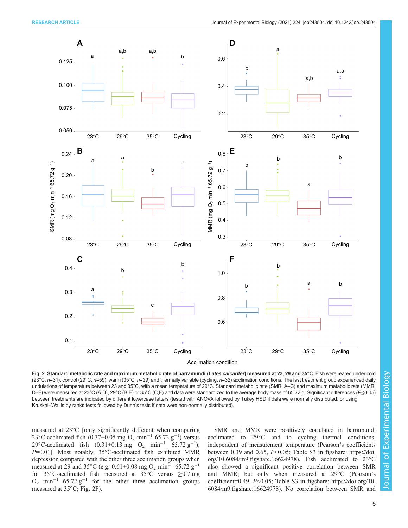<span id="page-5-0"></span>



Fig. 2. Standard metabolic rate and maximum metabolic rate of barramundi (Lates calcarifer) measured at 23, 29 and 35°C. Fish were reared under cold (23°C,  $n=31$ ), control (29°C,  $n=59$ ), warm (35°C,  $n=29$ ) and thermally variable (cycling,  $n=32$ ) acclimation conditions. The last treatment group experienced daily undulations of temperature between 23 and 35°C, with a mean temperature of 29°C. Standard metabolic rate (SMR; A–C) and maximum metabolic rate (MMR; D–F) were measured at 23°C (A,D), 29°C (B,E) or 35°C (C,F) and data were standardized to the average body mass of 65.72 g. Significant differences (P≤0.05) between treatments are indicated by different lowercase letters (tested with ANOVA followed by Tukey HSD if data were normally distributed, or using Kruskal–Wallis by ranks tests followed by Dunn's tests if data were non-normally distributed).

measured at 23°C [only significantly different when comparing 23°C-acclimated fish  $(0.37 \pm 0.05 \text{ mg } O_2 \text{ min}^{-1} 65.72 \text{ g}^{-1})$  versus 29 $^{\circ}$ C-acclimated fish (0.31±0.13 mg O<sub>2</sub> min<sup>-1</sup> 65.72 g<sup>-1</sup>);  $P=0.01$ ]. Most notably, 35 $\degree$ C-acclimated fish exhibited MMR depression compared with the other three acclimation groups when measured at 29 and 35°C (e.g. 0.61±0.08 mg O<sub>2</sub> min<sup>-1</sup> 65.72 g<sup>-1</sup> for 35°C-acclimated fish measured at 35°C versus  $\geq 0.7$  mg  $O_2$  min<sup>-1</sup> 65.72 g<sup>-1</sup> for the other three acclimation groups measured at 35°C; Fig. 2F).

SMR and MMR were positively correlated in barramundi acclimated to 29°C and to cycling thermal conditions, independent of measurement temperature (Pearson's coefficients between 0.39 and 0.65,  $P<0.05$ ; Table S3 in figshare: [https://doi.](https://doi.org/10.6084/m9.figshare.16624978) [org/10.6084/m9.figshare.16624978\)](https://doi.org/10.6084/m9.figshare.16624978). Fish acclimated to 23°C also showed a significant positive correlation between SMR and MMR, but only when measured at 29°C (Pearson's coefficient=0.49, P<0.05; Table S3 in figshare: [https://doi.org/10.](https://doi.org/10.6084/m9.figshare.16624978) [6084/m9.figshare.16624978\)](https://doi.org/10.6084/m9.figshare.16624978). No correlation between SMR and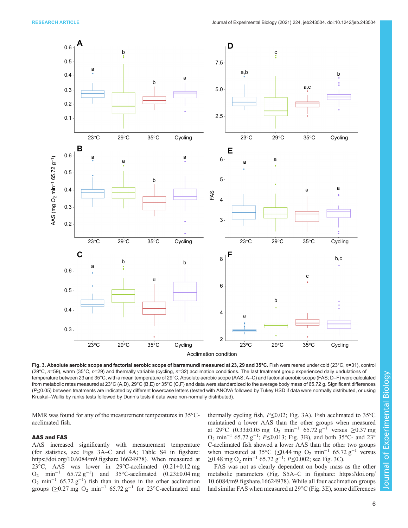<span id="page-6-0"></span>

Fig. 3. Absolute aerobic scope and factorial aerobic scope of barramundi measured at 23, 29 and 35°C. Fish were reared under cold (23°C, n=31), control (29°C,  $n=59$ ), warm (35°C,  $n=29$ ) and thermally variable (cycling,  $n=32$ ) acclimation conditions. The last treatment group experienced daily undulations of temperature between 23 and 35°C, with a mean temperature of 29°C. Absolute aerobic scope (AAS; A–C) and factorial aerobic scope (FAS; D–F) were calculated from metabolic rates measured at 23°C (A,D), 29°C (B,E) or 35°C (C,F) and data were standardized to the average body mass of 65.72 g. Significant differences (P≤0.05) between treatments are indicated by different lowercase letters (tested with ANOVA followed by Tukey HSD if data were normally distributed, or using Kruskal–Wallis by ranks tests followed by Dunn's tests if data were non-normally distributed).

MMR was found for any of the measurement temperatures in 35°Cacclimated fish.

#### AAS and FAS

AAS increased significantly with measurement temperature (for statistics, see Figs 3A–C and [4](#page-7-0)A; Table S4 in figshare: <https://doi.org/10.6084/m9.figshare.16624978>). When measured at 23°C, AAS was lower in 29°C-acclimated (0.21±0.12 mg O<sub>2</sub> min<sup>-1</sup> 65.72 g<sup>-1</sup>) and 35°C-acclimated (0.23±0.04 mg)  $O_2$  min<sup>-1</sup> 65.72 g<sup>-1</sup>) fish than in those in the other acclimation groups ( $\geq$ 0.27 mg O<sub>2</sub> min<sup>-1</sup> 65.72 g<sup>-1</sup> for 23°C-acclimated and thermally cycling fish,  $P \le 0.02$ ; Fig. 3A). Fish acclimated to 35 $\degree$ C maintained a lower AAS than the other groups when measured at 29°C (0.33±0.05 mg O<sub>2</sub> min<sup>-1</sup> 65.72 g<sup>-1</sup> versus ≥0.37 mg  $O_2$  min<sup>-1</sup> 65.72 g<sup>-1</sup>; *P*≤0.013; Fig. 3B), and both 35°C- and 23° C-acclimated fish showed a lower AAS than the other two groups when measured at 35°C (≤0.44 mg O<sub>2</sub> min<sup>-1</sup> 65.72 g<sup>-1</sup> versus  $\geq$ 0.48 mg O<sub>2</sub> min<sup>-1</sup> 65.72 g<sup>-1</sup>; *P*≤0.002; see Fig. 3C).

FAS was not as clearly dependent on body mass as the other metabolic parameters (Fig. S5A–C in figshare: [https://doi.org/](https://doi.org/10.6084/m9.figshare.16624978) [10.6084/m9.figshare.16624978](https://doi.org/10.6084/m9.figshare.16624978)). While all four acclimation groups had similar FAS when measured at 29°C (Fig. 3E), some differences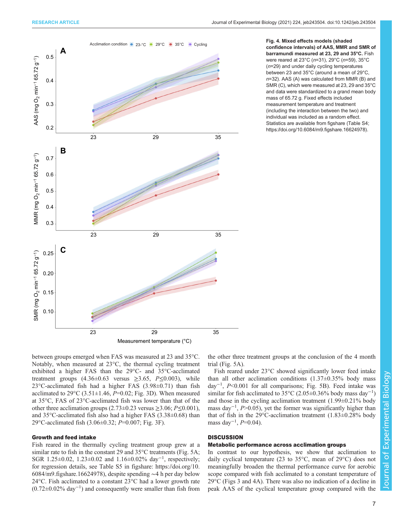<span id="page-7-0"></span>

confidence intervals) of AAS, MMR and SMR of barramundi measured at 23, 29 and 35°C. Fish were reared at 23°C (n=31), 29°C (n=59), 35°C (n=29) and under daily cycling temperatures between 23 and 35°C (around a mean of 29°C,  $n=32$ ). AAS (A) was calculated from MMR (B) and SMR (C), which were measured at 23, 29 and 35°C and data were standardized to a grand mean body mass of 65.72 g. Fixed effects included measurement temperature and treatment (including the interaction between the two) and individual was included as a random effect. Statistics are available from figshare (Table S4; <https://doi.org/10.6084/m9.figshare.16624978>).

between groups emerged when FAS was measured at 23 and 35°C. Notably, when measured at 23°C, the thermal cycling treatment exhibited a higher FAS than the 29°C- and 35°C-acclimated treatment groups  $(4.36\pm0.63$  versus  $\geq 3.65$ ,  $P \leq 0.003$ ), while 23°C-acclimated fish had a higher FAS (3.98±0.71) than fish acclimated to  $29^{\circ}$ C (3.51 $\pm$ 1.46, P=0.02; [Fig. 3](#page-6-0)D). When measured at 35°C, FAS of 23°C-acclimated fish was lower than that of the other three acclimation groups  $(2.73\pm0.23$  versus  $\geq 3.06$ ;  $P \leq 0.001$ ), and 35°C-acclimated fish also had a higher FAS (3.38±0.68) than 29°C-acclimated fish (3.06±0.32; P=0.007; [Fig. 3](#page-6-0)F).

#### Growth and feed intake

Fish reared in the thermally cycling treatment group grew at a similar rate to fish in the constant 29 and 35°C treatments ([Fig. 5A](#page-8-0); SGR 1.25±0.02, 1.23±0.02 and 1.16±0.02% day<sup>-1</sup>, respectively; for regression details, see Table S5 in figshare: [https://doi.org/10.](https://doi.org/10.6084/m9.figshare.16624978) [6084/m9.figshare.16624978\)](https://doi.org/10.6084/m9.figshare.16624978), despite spending ∼4 h per day below 24°C. Fish acclimated to a constant 23°C had a lower growth rate (0.72±0.02% day−<sup>1</sup> ) and consequently were smaller than fish from

the other three treatment groups at the conclusion of the 4 month trial ([Fig. 5](#page-8-0)A).

Fish reared under 23°C showed significantly lower feed intake than all other acclimation conditions  $(1.37\pm0.35\%$  body mass day−<sup>1</sup> , P<0.001 for all comparisons; [Fig. 5](#page-8-0)B). Feed intake was similar for fish acclimated to  $35^{\circ}$ C (2.05±0.36% body mass day<sup>-1</sup>) and those in the cycling acclimation treatment (1.99±0.21% body mass day<sup>-1</sup>, P>0.05), yet the former was significantly higher than that of fish in the 29 $\degree$ C-acclimation treatment (1.83 $\pm$ 0.28% body mass day<sup>-1</sup>, *P*=0.04).

#### **DISCUSSION**

#### Metabolic performance across acclimation groups

In contrast to our hypothesis, we show that acclimation to daily cyclical temperature (23 to 35°C, mean of 29°C) does not meaningfully broaden the thermal performance curve for aerobic scope compared with fish acclimated to a constant temperature of 29°C [\(Figs 3](#page-6-0) and 4A). There was also no indication of a decline in peak AAS of the cyclical temperature group compared with the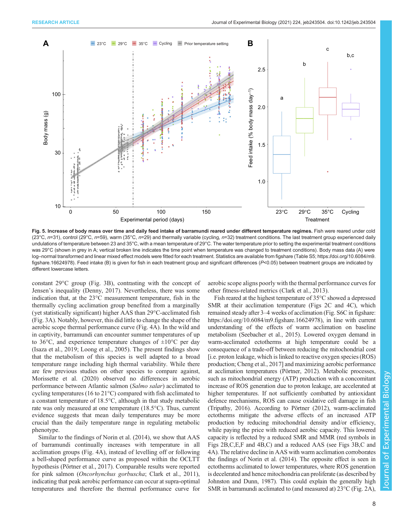<span id="page-8-0"></span>

Fig. 5. Increase of body mass over time and daily feed intake of barramundi reared under different temperature regimes. Fish were reared under cold (23°C, n=31), control (29°C, n=59), warm (35°C, n=29) and thermally variable (cycling, n=32) treatment conditions. The last treatment group experienced daily undulations of temperature between 23 and 35°C, with a mean temperature of 29°C. The water temperature prior to setting the experimental treatment conditions was 29°C (shown in grey in A; vertical broken line indicates the time point when temperature was changed to treatment conditions). Body mass data (A) were log–normal transformed and linear mixed effect models were fitted for each treatment. Statistics are available from figshare (Table S5; [https://doi.org/10.6084/m9.](https://doi.org/10.6084/m9.figshare.16624978) [figshare.16624978](https://doi.org/10.6084/m9.figshare.16624978)). Feed intake (B) is given for fish in each treatment group and significant differences (P<0.05) between treatment groups are indicated by different lowercase letters.

constant 29°C group [\(Fig. 3](#page-6-0)B), contrasting with the concept of Jensen's inequality ([Denny, 2017](#page-10-0)). Nevertheless, there was some indication that, at the 23°C measurement temperature, fish in the thermally cycling acclimation group benefited from a marginally (yet statistically significant) higher AAS than 29°C-acclimated fish [\(Fig. 3A](#page-6-0)). Notably, however, this did little to change the shape of the aerobic scope thermal performance curve ([Fig. 4A](#page-7-0)). In the wild and in captivity, barramundi can encounter summer temperatures of up to 36 $\degree$ C, and experience temperature changes of  $\pm 10\degree$ C per day [\(Isaza et al., 2019; Loong et al., 2005](#page-10-0)). The present findings show that the metabolism of this species is well adapted to a broad temperature range including high thermal variability. While there are few previous studies on other species to compare against, [Morissette et al. \(2020\)](#page-10-0) observed no differences in aerobic performance between Atlantic salmon (Salmo salar) acclimated to cycling temperatures (16 to 21°C) compared with fish acclimated to a constant temperature of 18.5°C, although in that study metabolic rate was only measured at one temperature (18.5°C). Thus, current evidence suggests that mean daily temperatures may be more crucial than the daily temperature range in regulating metabolic phenotype.

Similar to the findings of [Norin et al. \(2014\),](#page-10-0) we show that AAS of barramundi continually increases with temperature in all acclimation groups ([Fig. 4](#page-7-0)A), instead of levelling off or following a bell-shaped performance curve as proposed within the OCLTT hypothesis ([Pörtner et al., 2017\)](#page-10-0). Comparable results were reported for pink salmon (Oncorhynchus gorbuscha; [Clark et al., 2011\),](#page-10-0) indicating that peak aerobic performance can occur at supra-optimal temperatures and therefore the thermal performance curve for aerobic scope aligns poorly with the thermal performance curves for other fitness-related metrics ([Clark et al., 2013\)](#page-10-0).

Fish reared at the highest temperature of 35°C showed a depressed SMR at their acclimation temperature [\(Figs 2C](#page-5-0) and [4](#page-7-0)C), which remained steady after 3–4 weeks of acclimation (Fig. S6C in figshare: <https://doi.org/10.6084/m9.figshare.16624978>), in line with current understanding of the effects of warm acclimation on baseline metabolism ([Seebacher et al., 2015](#page-10-0)). Lowered oxygen demand in warm-acclimated ectotherms at high temperature could be a consequence of a trade-off between reducing the mitochondrial cost [i.e. proton leakage, which is linked to reactive oxygen species (ROS) production; [Cheng et al., 2017\]](#page-10-0) and maximizing aerobic performance at acclimation temperatures [\(Pörtner, 2012](#page-10-0)). Metabolic processes, such as mitochondrial energy (ATP) production with a concomitant increase of ROS generation due to proton leakage, are accelerated at higher temperatures. If not sufficiently combatted by antioxidant defence mechanisms, ROS can cause oxidative cell damage in fish [\(Tripathy, 2016\)](#page-10-0). According to [Pörtner \(2012\),](#page-10-0) warm-acclimated ectotherms mitigate the adverse effects of an increased ATP production by reducing mitochondrial density and/or efficiency, while paying the price with reduced aerobic capacity. This lowered capacity is reflected by a reduced SMR and MMR (red symbols in [Figs 2](#page-5-0)B,C,E,F and [4B](#page-7-0),C) and a reduced AAS (see [Figs 3](#page-6-0)B,C and [4A](#page-7-0)). The relative decline in AAS with warm acclimation corroborates the findings of [Norin et al. \(2014\)](#page-10-0). The opposite effect is seen in ectotherms acclimated to lower temperatures, where ROS generation is decelerated and hence mitochondria can proliferate (as described by [Johnston and Dunn, 1987\).](#page-10-0) This could explain the generally high SMR in barramundi acclimated to (and measured at) 23°C [\(Fig. 2](#page-5-0)A),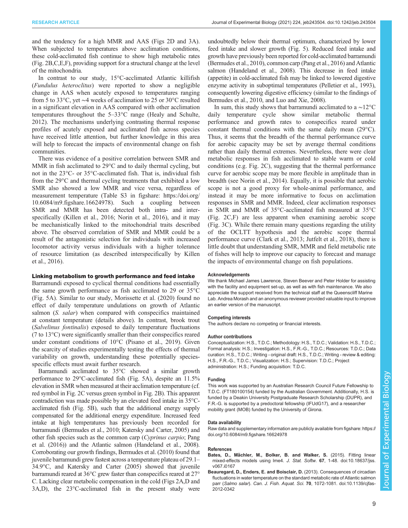<span id="page-9-0"></span>and the tendency for a high MMR and AAS ([Figs 2](#page-5-0)D and [3A](#page-6-0)). When subjected to temperatures above acclimation conditions, these cold-acclimated fish continue to show high metabolic rates [\(Fig. 2](#page-5-0)B,C,E,F), providing support for a structural change at the level of the mitochondria.

In contrast to our study, 15°C-acclimated Atlantic killifish (Fundulus heteroclitus) were reported to show a negligible change in AAS when acutely exposed to temperatures ranging from 5 to 33°C, yet ∼4 weeks of acclimation to 25 or 30°C resulted in a significant elevation in AAS compared with other acclimation temperatures throughout the 5–33°C range [\(Healy and Schulte,](#page-10-0) [2012](#page-10-0)). The mechanisms underlying contrasting thermal response profiles of acutely exposed and acclimated fish across species have received little attention, but further knowledge in this area will help to forecast the impacts of environmental change on fish communities.

There was evidence of a positive correlation between SMR and MMR in fish acclimated to 29°C and to daily thermal cycling, but not in the 23°C- or 35°C-acclimated fish. That is, individual fish from the 29°C and thermal cycling treatments that exhibited a low SMR also showed a low MMR and vice versa, regardless of measurement temperature (Table S3 in figshare: [https://doi.org/](https://doi.org/10.6084/m9.figshare.16624978) [10.6084/m9.figshare.16624978](https://doi.org/10.6084/m9.figshare.16624978)). Such a coupling between SMR and MMR has been detected both intra- and interspecifically [\(Killen et al., 2016; Norin et al., 2016\)](#page-10-0), and it may be mechanistically linked to the mitochondrial traits described above. The observed correlation of SMR and MMR could be a result of the antagonistic selection for individuals with increased locomotor activity versus individuals with a higher tolerance of resource limitation (as described interspecifically by [Killen](#page-10-0) [et al., 2016\).](#page-10-0)

#### Linking metabolism to growth performance and feed intake

Barramundi exposed to cyclical thermal conditions had essentially the same growth performance as fish acclimated to 29 or 35°C [\(Fig. 5A](#page-8-0)). Similar to our study, [Morissette et al. \(2020\)](#page-10-0) found no effect of daily temperature undulations on growth of Atlantic salmon (S. *salar*) when compared with conspecifics maintained at constant temperature (details above). In contrast, brook trout (Salvelinus fontinalis) exposed to daily temperature fluctuations (7 to 13°C) were significantly smaller than their conspecifics reared under constant conditions of 10°C ([Pisano et al., 2019](#page-10-0)). Given the scarcity of studies experimentally testing the effects of thermal variability on growth, understanding these potentially speciesspecific effects must await further research.

Barramundi acclimated to 35°C showed a similar growth performance to 29°C-acclimated fish ([Fig. 5A](#page-8-0)), despite an 11.5% elevation in SMR when measured at their acclimation temperature (cf. red symbol in [Fig. 2](#page-5-0)C versus green symbol in [Fig. 2B](#page-5-0)). This apparent contradiction was made possible by an elevated feed intake in 35°Cacclimated fish [\(Fig. 5B](#page-8-0)), such that the additional energy supply compensated for the additional energy expenditure. Increased feed intake at high temperatures has previously been recorded for barramundi [\(Bermudes et al., 2010; Katersky and Carter, 2005\)](#page-10-0) and other fish species such as the common carp (Cyprinus carpio; [Pang](#page-10-0) [et al. \(2016\)\)](#page-10-0) and the Atlantic salmon [\(Handeland et al., 2008\)](#page-10-0). Corroborating our growth findings, [Bermudes et al. \(2010\)](#page-10-0) found that juvenile barramundi grew fastest across a temperature plateau of 29.1– 34.9°C, and [Katersky and Carter \(2005\)](#page-10-0) showed that juvenile barramundi reared at 36°C grew faster than conspecifics reared at 27° C. Lacking clear metabolic compensation in the cold ([Figs 2A](#page-5-0),D and [3A](#page-6-0),D), the 23°C-acclimated fish in the present study were

undoubtedly below their thermal optimum, characterized by lower feed intake and slower growth [\(Fig. 5](#page-8-0)). Reduced feed intake and growth have previously been reported for cold-acclimated barramundi [\(Bermudes et al., 2010\)](#page-10-0), common carp [\(Pang et al., 2016\)](#page-10-0) and Atlantic salmon [\(Handeland et al., 2008](#page-10-0)). This decrease in feed intake (appetite) in cold-acclimated fish may be linked to lowered digestive enzyme activity in suboptimal temperatures [\(Pelletier et al., 1993\)](#page-10-0), consequently lowering digestive efficiency (similar to the findings of [Bermudes et al., 2010,](#page-10-0) and [Luo and Xie, 2008\).](#page-10-0)

In sum, this study shows that barramundi acclimated to a ∼12°C daily temperature cycle show similar metabolic thermal performance and growth rates to conspecifics reared under constant thermal conditions with the same daily mean (29°C). Thus, it seems that the breadth of the thermal performance curve for aerobic capacity may be set by average thermal conditions rather than daily thermal extremes. Nevertheless, there were clear metabolic responses in fish acclimated to stable warm or cold conditions (e.g. [Fig. 2](#page-5-0)C), suggesting that the thermal performance curve for aerobic scope may be more flexible in amplitude than in breadth (see [Norin et al., 2014\).](#page-10-0) Equally, it is possible that aerobic scope is not a good proxy for whole-animal performance, and instead it may be more informative to focus on acclimation responses in SMR and MMR. Indeed, clear acclimation responses in SMR and MMR of 35°C-acclimated fish measured at 35°C [\(Fig. 2](#page-5-0)C,F) are less apparent when examining aerobic scope [\(Fig. 3](#page-6-0)C). While there remain many questions regarding the utility of the OCLTT hypothesis and the aerobic scope thermal performance curve ([Clark et al., 2013; Jutfelt et al., 2018](#page-10-0)), there is little doubt that understanding SMR, MMR and field metabolic rate of fishes will help to improve our capacity to forecast and manage the impacts of environmental change on fish populations.

#### Acknowledgements

We thank Michael James Lawrence, Steven Beever and Peter Holder for assisting with the facility and equipment set-up, as well as with fish maintenance. We also appreciate the support received from the technical staff at the Queenscliff Marine Lab. Andrea Morash and an anonymous reviewer provided valuable input to improve an earlier version of the manuscript.

#### Competing interests

The authors declare no competing or financial interests.

#### Author contributions

Conceptualization: H.S., T.D.C.; Methodology: H.S., T.D.C.; Validation: H.S., T.D.C.; Formal analysis: H.S.; Investigation: H.S., F.R.-G., T.D.C.; Resources: T.D.C.; Data curation: H.S., T.D.C.; Writing - original draft: H.S., T.D.C.; Writing - review & editing: H.S., F.R.-G., T.D.C.; Visualization: H.S.; Supervision: T.D.C.; Project administration: H.S.; Funding acquisition: T.D.C.

#### Funding

This work was supported by an Australian Research Council Future Fellowship to T.D.C. (FT180100154) funded by the Australian Government. Additionally, H.S. is funded by a Deakin University Postgraduate Research Scholarship (DUPR), and F.R.-G. is supported by a predoctoral fellowship (IFUdG17), and a researcher mobility grant (MOB) funded by the University of Girona.

#### Data availability

Raw data and supplementary information are publicly available from figshare: [https://](https://doi.org/10.6084/m9.figshare.16624978) [doi.org/10.6084/m9.figshare.16624978](https://doi.org/10.6084/m9.figshare.16624978)

#### References

- Bates, D., Mä[chler, M., Bolker, B. and Walker, S.](https://doi.org/10.18637/jss.v067.i0167) (2015). Fitting linear [mixed-effects models using lme4.](https://doi.org/10.18637/jss.v067.i0167) J. Stat. Softw. 67, 1-48. doi:10.18637/jss. [v067.i0167](https://doi.org/10.18637/jss.v067.i0167)
- [Beauregard, D., Enders, E. and Boisclair, D.](https://doi.org/10.1139/cjfas-2012-0342) (2013). Consequences of circadian [fluctuations in water temperature on the standard metabolic rate of Atlantic salmon](https://doi.org/10.1139/cjfas-2012-0342) parr (Salmo salar). Can. J. Fish. Aquat. Sci. 70[, 1072-1081. doi:10.1139/cjfas-](https://doi.org/10.1139/cjfas-2012-0342)[2012-0342](https://doi.org/10.1139/cjfas-2012-0342)